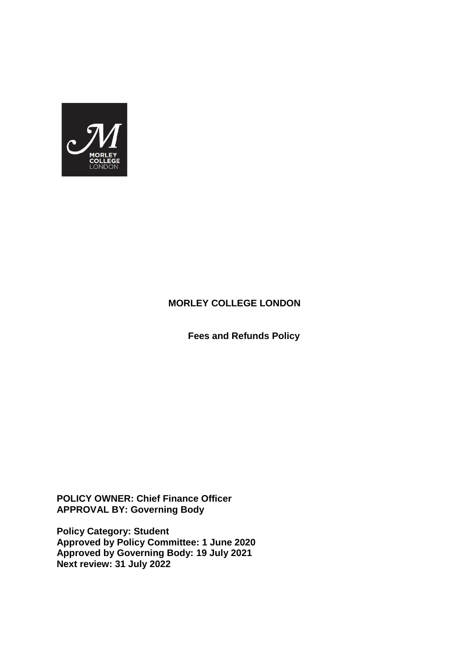

# **MORLEY COLLEGE LONDON**

 **Fees and Refunds Policy**

**POLICY OWNER: Chief Finance Officer APPROVAL BY: Governing Body** 

**Policy Category: Student Approved by Policy Committee: 1 June 2020 Approved by Governing Body: 19 July 2021 Next review: 31 July 2022**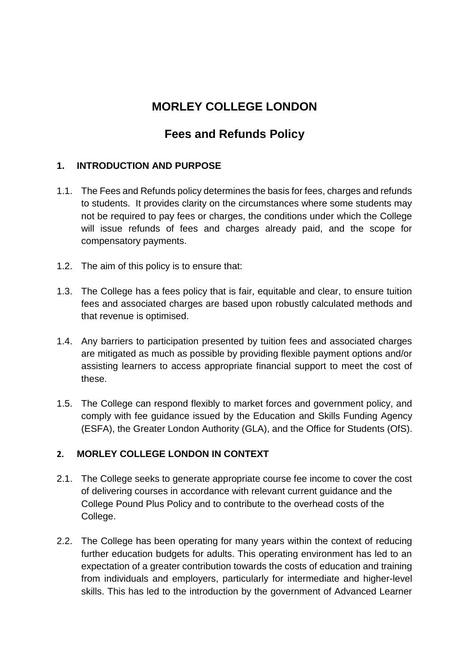# **MORLEY COLLEGE LONDON**

# **Fees and Refunds Policy**

# **1. INTRODUCTION AND PURPOSE**

- 1.1. The Fees and Refunds policy determines the basis for fees, charges and refunds to students. It provides clarity on the circumstances where some students may not be required to pay fees or charges, the conditions under which the College will issue refunds of fees and charges already paid, and the scope for compensatory payments.
- 1.2. The aim of this policy is to ensure that:
- 1.3. The College has a fees policy that is fair, equitable and clear, to ensure tuition fees and associated charges are based upon robustly calculated methods and that revenue is optimised.
- 1.4. Any barriers to participation presented by tuition fees and associated charges are mitigated as much as possible by providing flexible payment options and/or assisting learners to access appropriate financial support to meet the cost of these.
- 1.5. The College can respond flexibly to market forces and government policy, and comply with fee guidance issued by the Education and Skills Funding Agency (ESFA), the Greater London Authority (GLA), and the Office for Students (OfS).

# **2. MORLEY COLLEGE LONDON IN CONTEXT**

- 2.1. The College seeks to generate appropriate course fee income to cover the cost of delivering courses in accordance with relevant current guidance and the College Pound Plus Policy and to contribute to the overhead costs of the College.
- 2.2. The College has been operating for many years within the context of reducing further education budgets for adults. This operating environment has led to an expectation of a greater contribution towards the costs of education and training from individuals and employers, particularly for intermediate and higher-level skills. This has led to the introduction by the government of Advanced Learner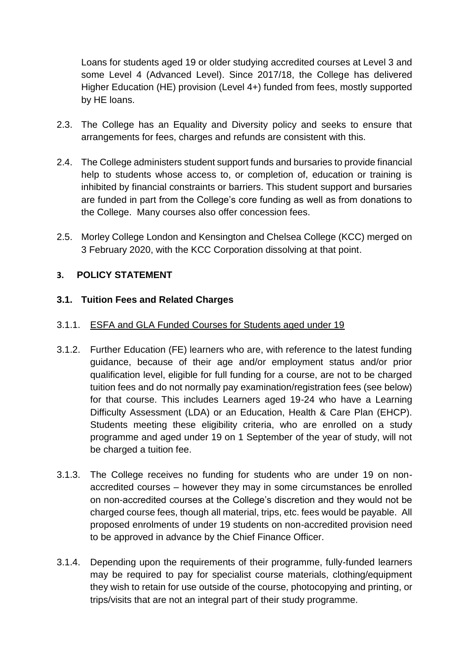Loans for students aged 19 or older studying accredited courses at Level 3 and some Level 4 (Advanced Level). Since 2017/18, the College has delivered Higher Education (HE) provision (Level 4+) funded from fees, mostly supported by HE loans.

- 2.3. The College has an Equality and Diversity policy and seeks to ensure that arrangements for fees, charges and refunds are consistent with this.
- 2.4. The College administers student support funds and bursaries to provide financial help to students whose access to, or completion of, education or training is inhibited by financial constraints or barriers. This student support and bursaries are funded in part from the College's core funding as well as from donations to the College. Many courses also offer concession fees.
- 2.5. Morley College London and Kensington and Chelsea College (KCC) merged on 3 February 2020, with the KCC Corporation dissolving at that point.

# **3. POLICY STATEMENT**

# **3.1. Tuition Fees and Related Charges**

## 3.1.1. ESFA and GLA Funded Courses for Students aged under 19

- 3.1.2. Further Education (FE) learners who are, with reference to the latest funding guidance, because of their age and/or employment status and/or prior qualification level, eligible for full funding for a course, are not to be charged tuition fees and do not normally pay examination/registration fees (see below) for that course. This includes Learners aged 19-24 who have a Learning Difficulty Assessment (LDA) or an Education, Health & Care Plan (EHCP). Students meeting these eligibility criteria, who are enrolled on a study programme and aged under 19 on 1 September of the year of study, will not be charged a tuition fee.
- 3.1.3. The College receives no funding for students who are under 19 on nonaccredited courses – however they may in some circumstances be enrolled on non-accredited courses at the College's discretion and they would not be charged course fees, though all material, trips, etc. fees would be payable. All proposed enrolments of under 19 students on non-accredited provision need to be approved in advance by the Chief Finance Officer.
- 3.1.4. Depending upon the requirements of their programme, fully-funded learners may be required to pay for specialist course materials, clothing/equipment they wish to retain for use outside of the course, photocopying and printing, or trips/visits that are not an integral part of their study programme.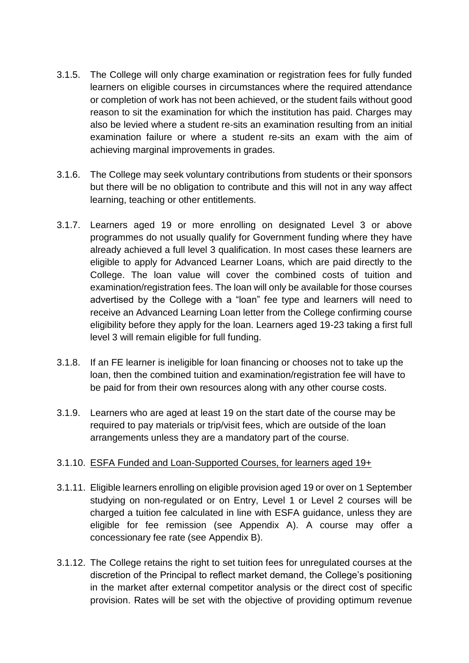- 3.1.5. The College will only charge examination or registration fees for fully funded learners on eligible courses in circumstances where the required attendance or completion of work has not been achieved, or the student fails without good reason to sit the examination for which the institution has paid. Charges may also be levied where a student re-sits an examination resulting from an initial examination failure or where a student re-sits an exam with the aim of achieving marginal improvements in grades.
- 3.1.6. The College may seek voluntary contributions from students or their sponsors but there will be no obligation to contribute and this will not in any way affect learning, teaching or other entitlements.
- 3.1.7. Learners aged 19 or more enrolling on designated Level 3 or above programmes do not usually qualify for Government funding where they have already achieved a full level 3 qualification. In most cases these learners are eligible to apply for Advanced Learner Loans, which are paid directly to the College. The loan value will cover the combined costs of tuition and examination/registration fees. The loan will only be available for those courses advertised by the College with a "loan" fee type and learners will need to receive an Advanced Learning Loan letter from the College confirming course eligibility before they apply for the loan. Learners aged 19-23 taking a first full level 3 will remain eligible for full funding.
- 3.1.8. If an FE learner is ineligible for loan financing or chooses not to take up the loan, then the combined tuition and examination/registration fee will have to be paid for from their own resources along with any other course costs.
- 3.1.9. Learners who are aged at least 19 on the start date of the course may be required to pay materials or trip/visit fees, which are outside of the loan arrangements unless they are a mandatory part of the course.

## 3.1.10. ESFA Funded and Loan-Supported Courses, for learners aged 19+

- 3.1.11. Eligible learners enrolling on eligible provision aged 19 or over on 1 September studying on non-regulated or on Entry, Level 1 or Level 2 courses will be charged a tuition fee calculated in line with ESFA guidance, unless they are eligible for fee remission (see Appendix A). A course may offer a concessionary fee rate (see Appendix B).
- 3.1.12. The College retains the right to set tuition fees for unregulated courses at the discretion of the Principal to reflect market demand, the College's positioning in the market after external competitor analysis or the direct cost of specific provision. Rates will be set with the objective of providing optimum revenue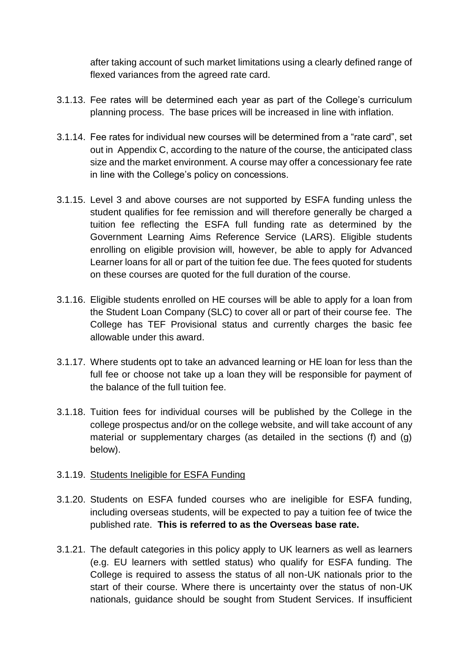after taking account of such market limitations using a clearly defined range of flexed variances from the agreed rate card.

- 3.1.13. Fee rates will be determined each year as part of the College's curriculum planning process. The base prices will be increased in line with inflation.
- 3.1.14. Fee rates for individual new courses will be determined from a "rate card", set out in Appendix C, according to the nature of the course, the anticipated class size and the market environment. A course may offer a concessionary fee rate in line with the College's policy on concessions.
- 3.1.15. Level 3 and above courses are not supported by ESFA funding unless the student qualifies for fee remission and will therefore generally be charged a tuition fee reflecting the ESFA full funding rate as determined by the Government Learning Aims Reference Service (LARS). Eligible students enrolling on eligible provision will, however, be able to apply for Advanced Learner loans for all or part of the tuition fee due. The fees quoted for students on these courses are quoted for the full duration of the course.
- 3.1.16. Eligible students enrolled on HE courses will be able to apply for a loan from the Student Loan Company (SLC) to cover all or part of their course fee. The College has TEF Provisional status and currently charges the basic fee allowable under this award.
- 3.1.17. Where students opt to take an advanced learning or HE loan for less than the full fee or choose not take up a loan they will be responsible for payment of the balance of the full tuition fee.
- 3.1.18. Tuition fees for individual courses will be published by the College in the college prospectus and/or on the college website, and will take account of any material or supplementary charges (as detailed in the sections (f) and (g) below).

#### 3.1.19. Students Ineligible for ESFA Funding

- 3.1.20. Students on ESFA funded courses who are ineligible for ESFA funding, including overseas students, will be expected to pay a tuition fee of twice the published rate. **This is referred to as the Overseas base rate.**
- 3.1.21. The default categories in this policy apply to UK learners as well as learners (e.g. EU learners with settled status) who qualify for ESFA funding. The College is required to assess the status of all non-UK nationals prior to the start of their course. Where there is uncertainty over the status of non-UK nationals, guidance should be sought from Student Services. If insufficient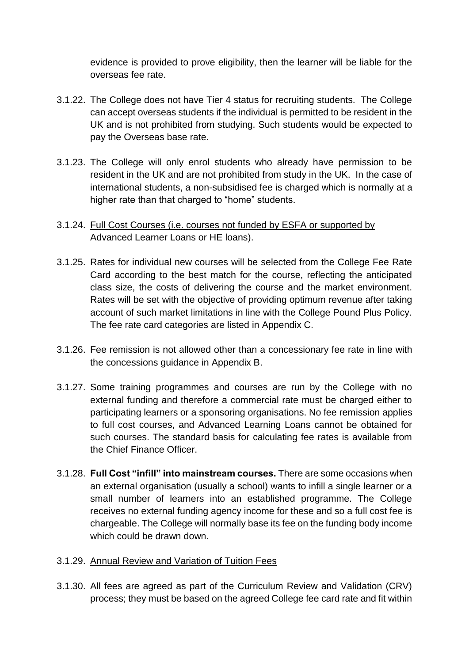evidence is provided to prove eligibility, then the learner will be liable for the overseas fee rate.

- 3.1.22. The College does not have Tier 4 status for recruiting students. The College can accept overseas students if the individual is permitted to be resident in the UK and is not prohibited from studying. Such students would be expected to pay the Overseas base rate.
- 3.1.23. The College will only enrol students who already have permission to be resident in the UK and are not prohibited from study in the UK. In the case of international students, a non-subsidised fee is charged which is normally at a higher rate than that charged to "home" students.

# 3.1.24. Full Cost Courses (i.e. courses not funded by ESFA or supported by Advanced Learner Loans or HE loans).

- 3.1.25. Rates for individual new courses will be selected from the College Fee Rate Card according to the best match for the course, reflecting the anticipated class size, the costs of delivering the course and the market environment. Rates will be set with the objective of providing optimum revenue after taking account of such market limitations in line with the College Pound Plus Policy. The fee rate card categories are listed in Appendix C.
- 3.1.26. Fee remission is not allowed other than a concessionary fee rate in line with the concessions guidance in Appendix B.
- 3.1.27. Some training programmes and courses are run by the College with no external funding and therefore a commercial rate must be charged either to participating learners or a sponsoring organisations. No fee remission applies to full cost courses, and Advanced Learning Loans cannot be obtained for such courses. The standard basis for calculating fee rates is available from the Chief Finance Officer.
- 3.1.28. **Full Cost "infill" into mainstream courses.** There are some occasions when an external organisation (usually a school) wants to infill a single learner or a small number of learners into an established programme. The College receives no external funding agency income for these and so a full cost fee is chargeable. The College will normally base its fee on the funding body income which could be drawn down.
- 3.1.29. Annual Review and Variation of Tuition Fees
- 3.1.30. All fees are agreed as part of the Curriculum Review and Validation (CRV) process; they must be based on the agreed College fee card rate and fit within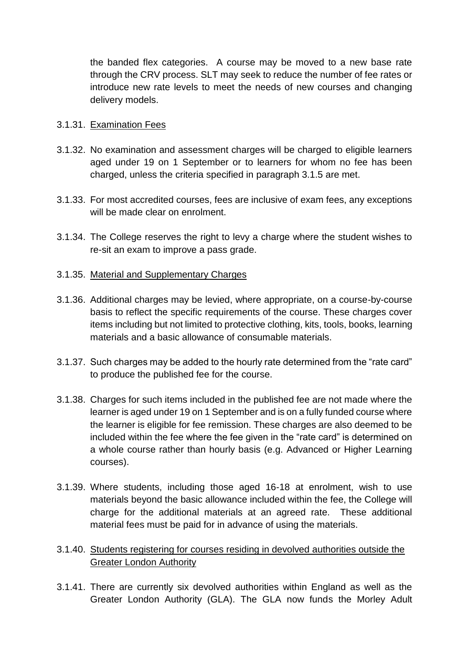the banded flex categories. A course may be moved to a new base rate through the CRV process. SLT may seek to reduce the number of fee rates or introduce new rate levels to meet the needs of new courses and changing delivery models.

#### 3.1.31. Examination Fees

- 3.1.32. No examination and assessment charges will be charged to eligible learners aged under 19 on 1 September or to learners for whom no fee has been charged, unless the criteria specified in paragraph 3.1.5 are met.
- 3.1.33. For most accredited courses, fees are inclusive of exam fees, any exceptions will be made clear on enrolment.
- 3.1.34. The College reserves the right to levy a charge where the student wishes to re-sit an exam to improve a pass grade.
- 3.1.35. Material and Supplementary Charges
- 3.1.36. Additional charges may be levied, where appropriate, on a course-by-course basis to reflect the specific requirements of the course. These charges cover items including but not limited to protective clothing, kits, tools, books, learning materials and a basic allowance of consumable materials.
- 3.1.37. Such charges may be added to the hourly rate determined from the "rate card" to produce the published fee for the course.
- 3.1.38. Charges for such items included in the published fee are not made where the learner is aged under 19 on 1 September and is on a fully funded course where the learner is eligible for fee remission. These charges are also deemed to be included within the fee where the fee given in the "rate card" is determined on a whole course rather than hourly basis (e.g. Advanced or Higher Learning courses).
- 3.1.39. Where students, including those aged 16-18 at enrolment, wish to use materials beyond the basic allowance included within the fee, the College will charge for the additional materials at an agreed rate. These additional material fees must be paid for in advance of using the materials.
- 3.1.40. Students registering for courses residing in devolved authorities outside the **Greater London Authority**
- 3.1.41. There are currently six devolved authorities within England as well as the Greater London Authority (GLA). The GLA now funds the Morley Adult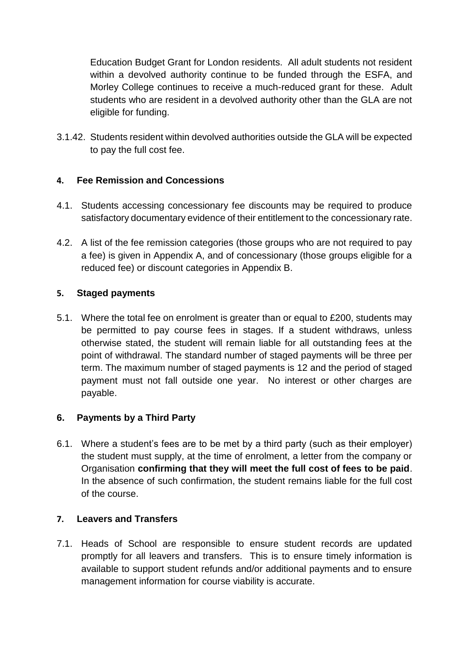Education Budget Grant for London residents. All adult students not resident within a devolved authority continue to be funded through the ESFA, and Morley College continues to receive a much-reduced grant for these. Adult students who are resident in a devolved authority other than the GLA are not eligible for funding.

3.1.42. Students resident within devolved authorities outside the GLA will be expected to pay the full cost fee.

# **4. Fee Remission and Concessions**

- 4.1. Students accessing concessionary fee discounts may be required to produce satisfactory documentary evidence of their entitlement to the concessionary rate.
- 4.2. A list of the fee remission categories (those groups who are not required to pay a fee) is given in Appendix A, and of concessionary (those groups eligible for a reduced fee) or discount categories in Appendix B.

## **5. Staged payments**

5.1. Where the total fee on enrolment is greater than or equal to £200, students may be permitted to pay course fees in stages. If a student withdraws, unless otherwise stated, the student will remain liable for all outstanding fees at the point of withdrawal. The standard number of staged payments will be three per term. The maximum number of staged payments is 12 and the period of staged payment must not fall outside one year. No interest or other charges are payable.

# **6. Payments by a Third Party**

6.1. Where a student's fees are to be met by a third party (such as their employer) the student must supply, at the time of enrolment, a letter from the company or Organisation **confirming that they will meet the full cost of fees to be paid**. In the absence of such confirmation, the student remains liable for the full cost of the course.

## **7. Leavers and Transfers**

7.1. Heads of School are responsible to ensure student records are updated promptly for all leavers and transfers. This is to ensure timely information is available to support student refunds and/or additional payments and to ensure management information for course viability is accurate.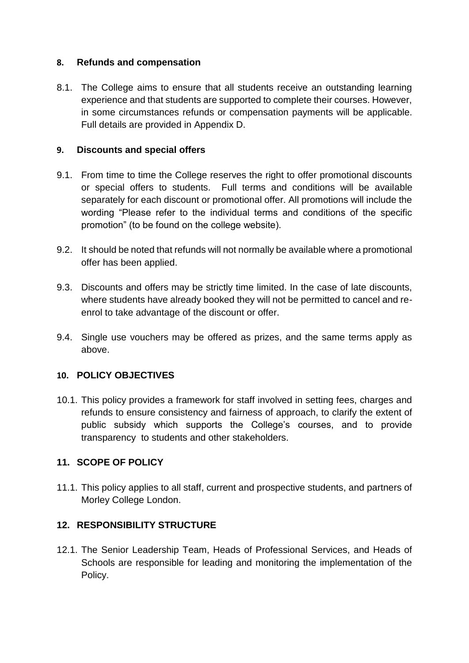#### **8. Refunds and compensation**

8.1. The College aims to ensure that all students receive an outstanding learning experience and that students are supported to complete their courses. However, in some circumstances refunds or compensation payments will be applicable. Full details are provided in Appendix D.

#### **9. Discounts and special offers**

- 9.1. From time to time the College reserves the right to offer promotional discounts or special offers to students. Full terms and conditions will be available separately for each discount or promotional offer. All promotions will include the wording "Please refer to the individual terms and conditions of the specific promotion" (to be found on the college website).
- 9.2. It should be noted that refunds will not normally be available where a promotional offer has been applied.
- 9.3. Discounts and offers may be strictly time limited. In the case of late discounts, where students have already booked they will not be permitted to cancel and reenrol to take advantage of the discount or offer.
- 9.4. Single use vouchers may be offered as prizes, and the same terms apply as above.

## **10. POLICY OBJECTIVES**

10.1. This policy provides a framework for staff involved in setting fees, charges and refunds to ensure consistency and fairness of approach, to clarify the extent of public subsidy which supports the College's courses, and to provide transparency to students and other stakeholders.

## **11. SCOPE OF POLICY**

11.1. This policy applies to all staff, current and prospective students, and partners of Morley College London.

#### **12. RESPONSIBILITY STRUCTURE**

12.1. The Senior Leadership Team, Heads of Professional Services, and Heads of Schools are responsible for leading and monitoring the implementation of the Policy.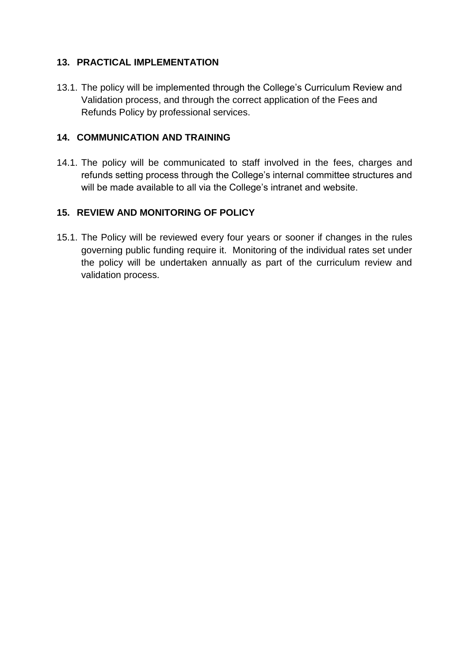# **13. PRACTICAL IMPLEMENTATION**

13.1. The policy will be implemented through the College's Curriculum Review and Validation process, and through the correct application of the Fees and Refunds Policy by professional services.

# **14. COMMUNICATION AND TRAINING**

14.1. The policy will be communicated to staff involved in the fees, charges and refunds setting process through the College's internal committee structures and will be made available to all via the College's intranet and website.

# **15. REVIEW AND MONITORING OF POLICY**

15.1. The Policy will be reviewed every four years or sooner if changes in the rules governing public funding require it. Monitoring of the individual rates set under the policy will be undertaken annually as part of the curriculum review and validation process.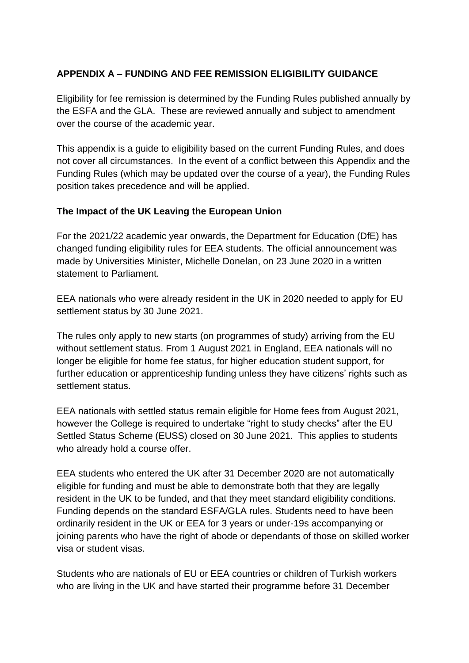# **APPENDIX A – FUNDING AND FEE REMISSION ELIGIBILITY GUIDANCE**

Eligibility for fee remission is determined by the Funding Rules published annually by the ESFA and the GLA. These are reviewed annually and subject to amendment over the course of the academic year.

This appendix is a guide to eligibility based on the current Funding Rules, and does not cover all circumstances. In the event of a conflict between this Appendix and the Funding Rules (which may be updated over the course of a year), the Funding Rules position takes precedence and will be applied.

#### **The Impact of the UK Leaving the European Union**

For the 2021/22 academic year onwards, the Department for Education (DfE) has changed funding eligibility rules for EEA students. The official announcement was made by Universities Minister, Michelle Donelan, on 23 June 2020 in a written statement to Parliament.

EEA nationals who were already resident in the UK in 2020 needed to apply for EU settlement status by 30 June 2021.

The rules only apply to new starts (on programmes of study) arriving from the EU without settlement status. From 1 August 2021 in England, EEA nationals will no longer be eligible for home fee status, for higher education student support, for further education or apprenticeship funding unless they have citizens' rights such as settlement status.

EEA nationals with settled status remain eligible for Home fees from August 2021, however the College is required to undertake "right to study checks" after the EU Settled Status Scheme (EUSS) closed on 30 June 2021. This applies to students who already hold a course offer.

EEA students who entered the UK after 31 December 2020 are not automatically eligible for funding and must be able to demonstrate both that they are legally resident in the UK to be funded, and that they meet standard eligibility conditions. Funding depends on the standard ESFA/GLA rules. Students need to have been ordinarily resident in the UK or EEA for 3 years or under-19s accompanying or joining parents who have the right of abode or dependants of those on skilled worker visa or student visas.

Students who are nationals of EU or EEA countries or children of Turkish workers who are living in the UK and have started their programme before 31 December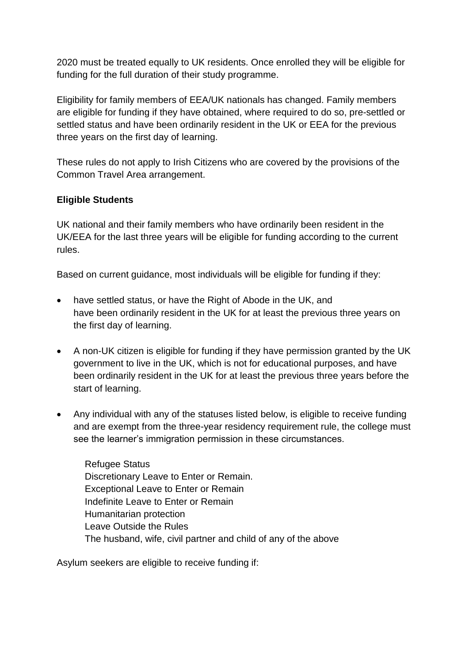2020 must be treated equally to UK residents. Once enrolled they will be eligible for funding for the full duration of their study programme.

Eligibility for family members of EEA/UK nationals has changed. Family members are eligible for funding if they have obtained, where required to do so, pre-settled or settled status and have been ordinarily resident in the UK or EEA for the previous three years on the first day of learning.

These rules do not apply to Irish Citizens who are covered by the provisions of the Common Travel Area arrangement.

## **Eligible Students**

UK national and their family members who have ordinarily been resident in the UK/EEA for the last three years will be eligible for funding according to the current rules.

Based on current guidance, most individuals will be eligible for funding if they:

- have settled status, or have the Right of Abode in the UK, and have been ordinarily resident in the UK for at least the previous three years on the first day of learning.
- A non-UK citizen is eligible for funding if they have permission granted by the UK government to live in the UK, which is not for educational purposes, and have been ordinarily resident in the UK for at least the previous three years before the start of learning.
- Any individual with any of the statuses listed below, is eligible to receive funding and are exempt from the three-year residency requirement rule, the college must see the learner's immigration permission in these circumstances.

Refugee Status Discretionary Leave to Enter or Remain. Exceptional Leave to Enter or Remain Indefinite Leave to Enter or Remain Humanitarian protection Leave Outside the Rules The husband, wife, civil partner and child of any of the above

Asylum seekers are eligible to receive funding if: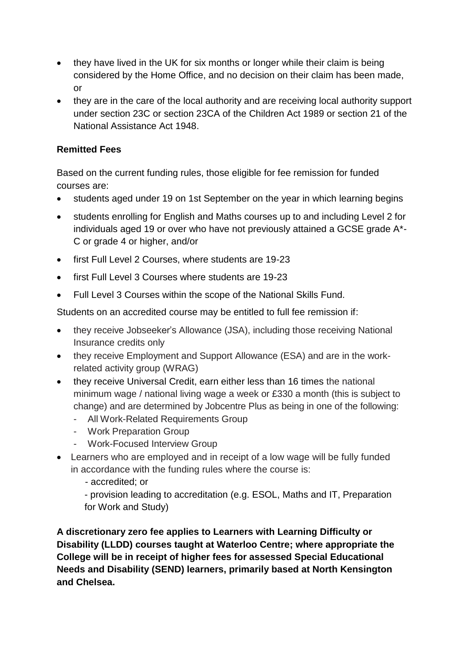- they have lived in the UK for six months or longer while their claim is being considered by the Home Office, and no decision on their claim has been made, or
- they are in the care of the local authority and are receiving local authority support under section 23C or section 23CA of the Children Act 1989 or section 21 of the National Assistance Act 1948.

# **Remitted Fees**

Based on the current funding rules, those eligible for fee remission for funded courses are:

- students aged under 19 on 1st September on the year in which learning begins
- students enrolling for English and Maths courses up to and including Level 2 for individuals aged 19 or over who have not previously attained a GCSE grade A\*- C or grade 4 or higher, and/or
- first Full Level 2 Courses, where students are 19-23
- first Full Level 3 Courses where students are 19-23
- Full Level 3 Courses within the scope of the National Skills Fund.

Students on an accredited course may be entitled to full fee remission if:

- they receive Jobseeker's Allowance (JSA), including those receiving National Insurance credits only
- they receive Employment and Support Allowance (ESA) and are in the workrelated activity group (WRAG)
- they receive Universal Credit, earn either less than 16 times the national minimum wage / national living wage a week or £330 a month (this is subject to change) and are determined by Jobcentre Plus as being in one of the following:
	- All Work-Related Requirements Group
	- Work Preparation Group
	- Work-Focused Interview Group
- Learners who are employed and in receipt of a low wage will be fully funded in accordance with the funding rules where the course is:
	- accredited; or

- provision leading to accreditation (e.g. ESOL, Maths and IT, Preparation for Work and Study)

**A discretionary zero fee applies to Learners with Learning Difficulty or Disability (LLDD) courses taught at Waterloo Centre; where appropriate the College will be in receipt of higher fees for assessed Special Educational Needs and Disability (SEND) learners, primarily based at North Kensington and Chelsea.**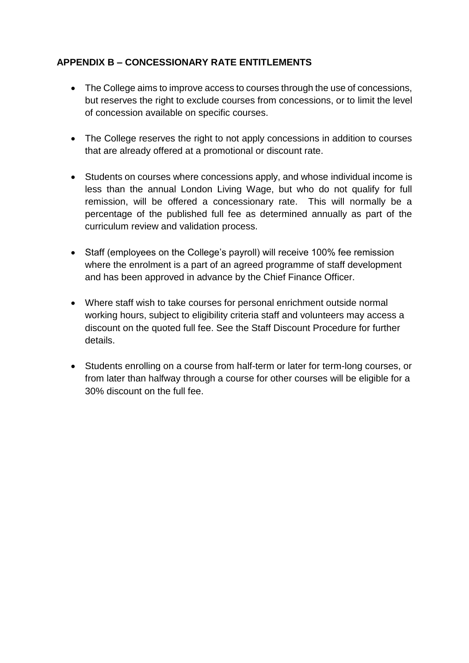# **APPENDIX B – CONCESSIONARY RATE ENTITLEMENTS**

- The College aims to improve access to courses through the use of concessions, but reserves the right to exclude courses from concessions, or to limit the level of concession available on specific courses.
- The College reserves the right to not apply concessions in addition to courses that are already offered at a promotional or discount rate.
- Students on courses where concessions apply, and whose individual income is less than the annual London Living Wage, but who do not qualify for full remission, will be offered a concessionary rate. This will normally be a percentage of the published full fee as determined annually as part of the curriculum review and validation process.
- Staff (employees on the College's payroll) will receive 100% fee remission where the enrolment is a part of an agreed programme of staff development and has been approved in advance by the Chief Finance Officer.
- Where staff wish to take courses for personal enrichment outside normal working hours, subject to eligibility criteria staff and volunteers may access a discount on the quoted full fee. See the Staff Discount Procedure for further details.
- Students enrolling on a course from half-term or later for term-long courses, or from later than halfway through a course for other courses will be eligible for a 30% discount on the full fee.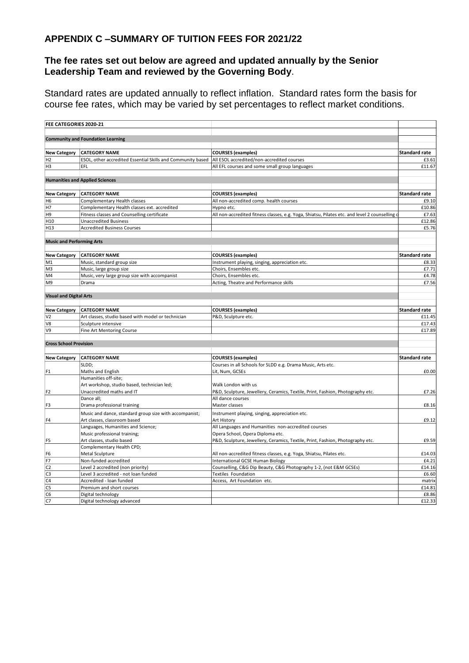#### **APPENDIX C –SUMMARY OF TUITION FEES FOR 2021/22**

#### **The fee rates set out below are agreed and updated annually by the Senior Leadership Team and reviewed by the Governing Body**.

Standard rates are updated annually to reflect inflation. Standard rates form the basis for course fee rates, which may be varied by set percentages to reflect market conditions.

| FEE CATEGORIES 2020-21           |                                                             |                                                                                              |                      |
|----------------------------------|-------------------------------------------------------------|----------------------------------------------------------------------------------------------|----------------------|
|                                  |                                                             |                                                                                              |                      |
|                                  | <b>Community and Foundation Learning</b>                    |                                                                                              |                      |
|                                  |                                                             |                                                                                              |                      |
| <b>New Category</b>              | <b>CATEGORY NAME</b>                                        | <b>COURSES</b> (examples)                                                                    | <b>Standard rate</b> |
| H <sub>2</sub>                   | ESOL, other accredited Essential Skills and Community based | All ESOL accredited/non-accredited courses                                                   | £3.61                |
| H <sub>3</sub>                   | EFL                                                         | All EFL courses and some small group languages                                               | £11.67               |
|                                  |                                                             |                                                                                              |                      |
|                                  | <b>Humanities and Applied Sciences</b>                      |                                                                                              |                      |
| <b>New Category</b>              | <b>CATEGORY NAME</b>                                        | <b>COURSES</b> (examples)                                                                    | Standard rate        |
| H <sub>6</sub>                   | Complementary Health classes                                | All non-accredited comp. health courses                                                      | £9.10                |
| H7                               | Complementary Health classes ext. accredited                | Hypno etc.                                                                                   | £10.86               |
| H <sub>9</sub>                   | Fitness classes and Counselling certificate                 | All non-accredited fitness classes, e.g. Yoga, Shiatsu, Pilates etc. and level 2 counselling | £7.63                |
| H <sub>10</sub>                  | <b>Unaccredited Business</b>                                |                                                                                              | £12.86               |
| H <sub>13</sub>                  | <b>Accredited Business Courses</b>                          |                                                                                              | £5.76                |
|                                  |                                                             |                                                                                              |                      |
| <b>Music and Performing Arts</b> |                                                             |                                                                                              |                      |
|                                  |                                                             |                                                                                              |                      |
| <b>New Category</b>              | <b>CATEGORY NAME</b>                                        | <b>COURSES</b> (examples)                                                                    | <b>Standard rate</b> |
| M1                               | Music, standard group size                                  | Instrument playing, singing, appreciation etc.                                               | £8.33                |
| M <sub>3</sub>                   | Music, large group size                                     | Choirs, Ensembles etc.                                                                       | £7.71                |
| M4                               | Music, very large group size with accompanist               | Choirs, Ensembles etc.                                                                       | £4.78                |
| M <sub>9</sub>                   | Drama                                                       | Acting, Theatre and Performance skills                                                       | £7.56                |
|                                  |                                                             |                                                                                              |                      |
| <b>Visual and Digital Arts</b>   |                                                             |                                                                                              |                      |
|                                  |                                                             |                                                                                              |                      |
| <b>New Category</b>              | <b>CATEGORY NAME</b>                                        | <b>COURSES</b> (examples)                                                                    | Standard rate        |
| V <sub>2</sub>                   | Art classes, studio based with model or technician          | P&D, Sculpture etc.                                                                          | £11.45               |
| V8                               | Sculpture intensive                                         |                                                                                              | £17.43               |
| V9                               | Fine Art Mentoring Course                                   |                                                                                              | £17.89               |
|                                  |                                                             |                                                                                              |                      |
| <b>Cross School Provision</b>    |                                                             |                                                                                              |                      |
| <b>New Category</b>              | <b>CATEGORY NAME</b>                                        | <b>COURSES</b> (examples)                                                                    | <b>Standard rate</b> |
|                                  | SLDD;                                                       | Courses in all Schools for SLDD e.g. Drama Music, Arts etc.                                  |                      |
| F1                               | Maths and English                                           | Lit, Num, GCSEs                                                                              | £0.00                |
|                                  | Humanities off-site;                                        |                                                                                              |                      |
|                                  | Art workshop, studio based, technician led;                 | Walk London with us                                                                          |                      |
| F <sub>2</sub>                   | Unaccredited maths and IT                                   | P&D, Sculpture, Jewellery, Ceramics, Textile, Print, Fashion, Photography etc.               | £7.26                |
|                                  | Dance all;                                                  | All dance courses                                                                            |                      |
| F <sub>3</sub>                   | Drama professional training                                 | Master classes                                                                               | £8.16                |
|                                  | Music and dance, standard group size with accompanist;      | Instrument playing, singing, appreciation etc.                                               |                      |
| F <sub>4</sub>                   | Art classes, classroom based                                | Art History                                                                                  | £9.12                |
|                                  | Languages, Humanities and Science;                          | All Languages and Humanities non-accredited courses                                          |                      |
|                                  | Music professional training;                                | Opera School, Opera Diploma etc.                                                             |                      |
| F5                               | Art classes, studio based                                   | P&D, Sculpture, Jewellery, Ceramics, Textile, Print, Fashion, Photography etc.               | £9.59                |
|                                  | Complementary Health CPD;                                   |                                                                                              |                      |
| F6                               | Metal Sculpture                                             | All non-accredited fitness classes, e.g. Yoga, Shiatsu, Pilates etc.                         | £14.03               |
| F7                               | Non-funded accredited                                       | International GCSE Human Biology                                                             | £4.21                |
| C <sub>2</sub>                   | Level 2 accredited (non priority)                           | Counselling, C&G Dip Beauty, C&G Photography 1-2, (not E&M GCSEs)                            | £14.16               |
| C <sub>3</sub>                   | Level 3 accredited - not loan funded                        | Textiles Foundation                                                                          | £6.60                |
| C <sub>4</sub>                   | Accredited - loan funded                                    | Access, Art Foundation etc.                                                                  | matrix               |
| C <sub>5</sub>                   | Premium and short courses                                   |                                                                                              | £14.81               |
| C <sub>6</sub>                   | Digital technology                                          |                                                                                              | £8.86                |
| c7                               | Digital technology advanced                                 |                                                                                              | £12.33               |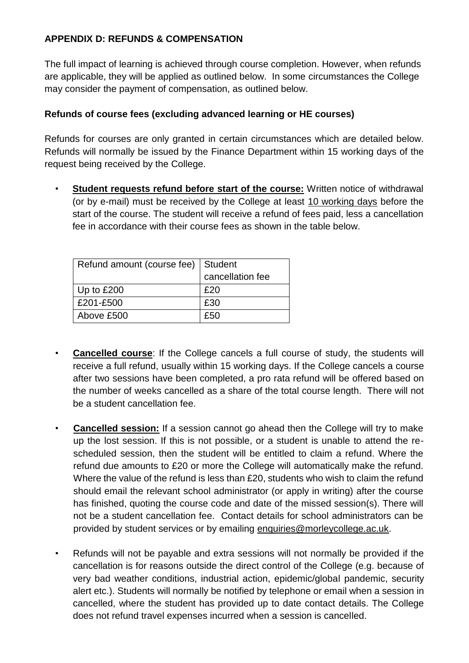# **APPENDIX D: REFUNDS & COMPENSATION**

The full impact of learning is achieved through course completion. However, when refunds are applicable, they will be applied as outlined below. In some circumstances the College may consider the payment of compensation, as outlined below.

# **Refunds of course fees (excluding advanced learning or HE courses)**

Refunds for courses are only granted in certain circumstances which are detailed below. Refunds will normally be issued by the Finance Department within 15 working days of the request being received by the College.

**Student requests refund before start of the course:** Written notice of withdrawal (or by e-mail) must be received by the College at least 10 working days before the start of the course. The student will receive a refund of fees paid, less a cancellation fee in accordance with their course fees as shown in the table below.

| Refund amount (course fee)   Student |                  |
|--------------------------------------|------------------|
|                                      | cancellation fee |
| Up to £200                           | £20              |
| £201-£500                            | £30              |
| Above £500                           | £50              |

- **Cancelled course:** If the College cancels a full course of study, the students will receive a full refund, usually within 15 working days. If the College cancels a course after two sessions have been completed, a pro rata refund will be offered based on the number of weeks cancelled as a share of the total course length. There will not be a student cancellation fee.
- **Cancelled session:** If a session cannot go ahead then the College will try to make up the lost session. If this is not possible, or a student is unable to attend the rescheduled session, then the student will be entitled to claim a refund. Where the refund due amounts to £20 or more the College will automatically make the refund. Where the value of the refund is less than £20, students who wish to claim the refund should email the relevant school administrator (or apply in writing) after the course has finished, quoting the course code and date of the missed session(s). There will not be a student cancellation fee. Contact details for school administrators can be provided by student services or by emailing [enquiries@morleycollege.ac.uk.](mailto:enquiries@morleycollege.ac.uk)
- Refunds will not be payable and extra sessions will not normally be provided if the cancellation is for reasons outside the direct control of the College (e.g. because of very bad weather conditions, industrial action, epidemic/global pandemic, security alert etc.). Students will normally be notified by telephone or email when a session in cancelled, where the student has provided up to date contact details. The College does not refund travel expenses incurred when a session is cancelled.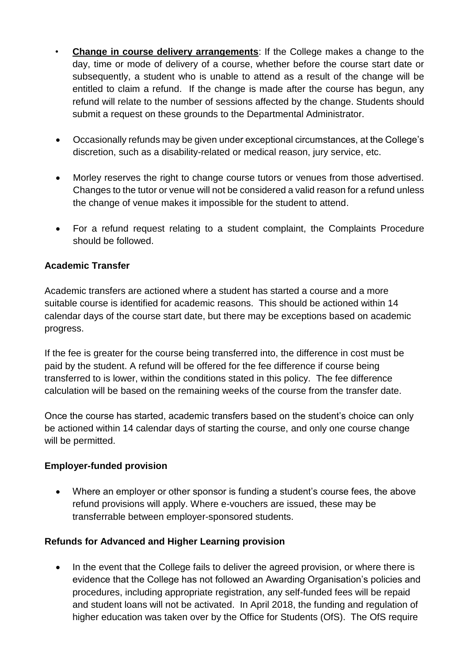- **Change in course delivery arrangements**: If the College makes a change to the day, time or mode of delivery of a course, whether before the course start date or subsequently, a student who is unable to attend as a result of the change will be entitled to claim a refund. If the change is made after the course has begun, any refund will relate to the number of sessions affected by the change. Students should submit a request on these grounds to the Departmental Administrator.
- Occasionally refunds may be given under exceptional circumstances, at the College's discretion, such as a disability-related or medical reason, jury service, etc.
- Morley reserves the right to change course tutors or venues from those advertised. Changes to the tutor or venue will not be considered a valid reason for a refund unless the change of venue makes it impossible for the student to attend.
- For a refund request relating to a student complaint, the Complaints Procedure should be followed.

## **Academic Transfer**

Academic transfers are actioned where a student has started a course and a more suitable course is identified for academic reasons. This should be actioned within 14 calendar days of the course start date, but there may be exceptions based on academic progress.

If the fee is greater for the course being transferred into, the difference in cost must be paid by the student. A refund will be offered for the fee difference if course being transferred to is lower, within the conditions stated in this policy. The fee difference calculation will be based on the remaining weeks of the course from the transfer date.

Once the course has started, academic transfers based on the student's choice can only be actioned within 14 calendar days of starting the course, and only one course change will be permitted.

## **Employer-funded provision**

 Where an employer or other sponsor is funding a student's course fees, the above refund provisions will apply. Where e-vouchers are issued, these may be transferrable between employer-sponsored students.

## **Refunds for Advanced and Higher Learning provision**

• In the event that the College fails to deliver the agreed provision, or where there is evidence that the College has not followed an Awarding Organisation's policies and procedures, including appropriate registration, any self-funded fees will be repaid and student loans will not be activated. In April 2018, the funding and regulation of higher education was taken over by the Office for Students (OfS). The OfS require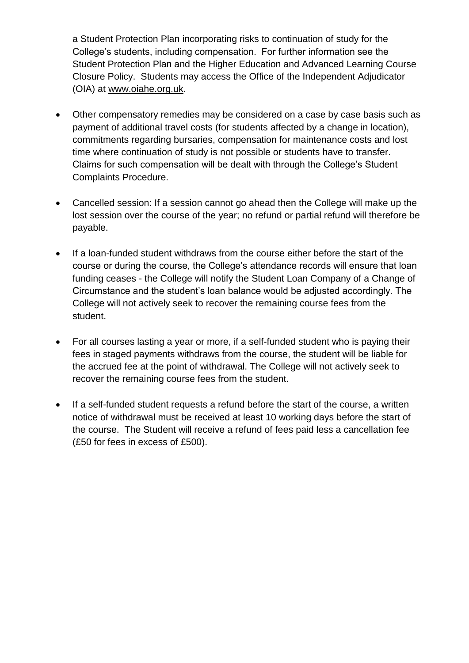a Student Protection Plan incorporating risks to continuation of study for the College's students, including compensation. For further information see the Student Protection Plan and the Higher Education and Advanced Learning Course Closure Policy. Students may access the Office of the Independent Adjudicator (OIA) at [www.oiahe.org.uk.](http://www.oiahe.org.uk/)

- Other compensatory remedies may be considered on a case by case basis such as payment of additional travel costs (for students affected by a change in location), commitments regarding bursaries, compensation for maintenance costs and lost time where continuation of study is not possible or students have to transfer. Claims for such compensation will be dealt with through the College's Student Complaints Procedure.
- Cancelled session: If a session cannot go ahead then the College will make up the lost session over the course of the year; no refund or partial refund will therefore be payable.
- If a loan-funded student withdraws from the course either before the start of the course or during the course, the College's attendance records will ensure that loan funding ceases - the College will notify the Student Loan Company of a Change of Circumstance and the student's loan balance would be adjusted accordingly. The College will not actively seek to recover the remaining course fees from the student.
- For all courses lasting a year or more, if a self-funded student who is paying their fees in staged payments withdraws from the course, the student will be liable for the accrued fee at the point of withdrawal. The College will not actively seek to recover the remaining course fees from the student.
- If a self-funded student requests a refund before the start of the course, a written notice of withdrawal must be received at least 10 working days before the start of the course. The Student will receive a refund of fees paid less a cancellation fee (£50 for fees in excess of £500).